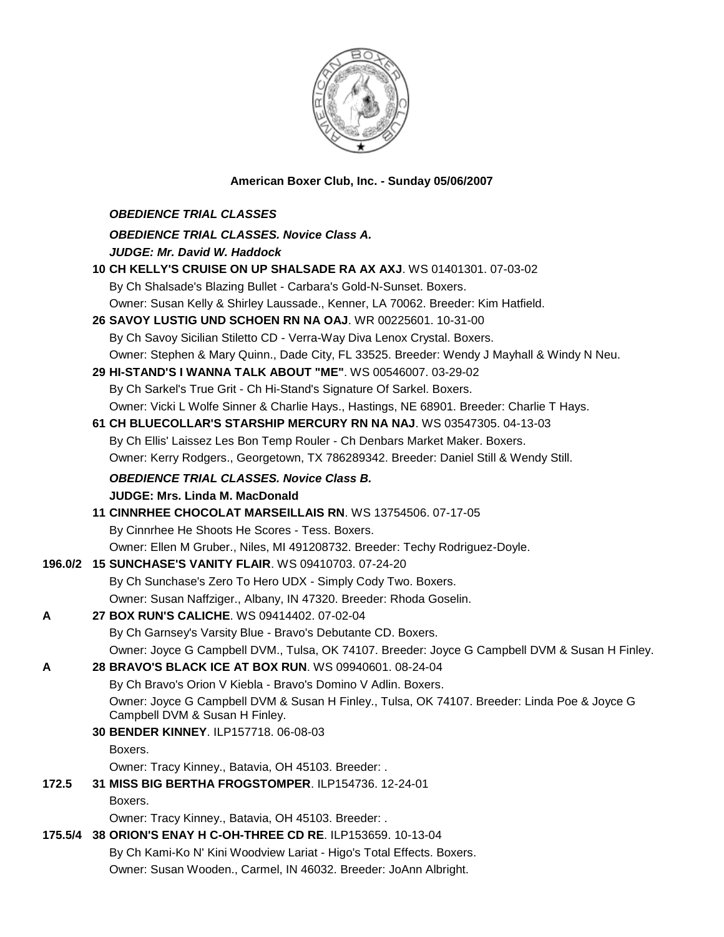

## **American Boxer Club, Inc. - Sunday 05/06/2007**

|         | <b>OBEDIENCE TRIAL CLASSES</b>                                                                                                 |
|---------|--------------------------------------------------------------------------------------------------------------------------------|
|         | <b>OBEDIENCE TRIAL CLASSES. Novice Class A.</b>                                                                                |
|         | <b>JUDGE: Mr. David W. Haddock</b>                                                                                             |
|         | 10 CH KELLY'S CRUISE ON UP SHALSADE RA AX AXJ. WS 01401301. 07-03-02                                                           |
|         | By Ch Shalsade's Blazing Bullet - Carbara's Gold-N-Sunset. Boxers.                                                             |
|         | Owner: Susan Kelly & Shirley Laussade., Kenner, LA 70062. Breeder: Kim Hatfield.                                               |
|         | 26 SAVOY LUSTIG UND SCHOEN RN NA OAJ. WR 00225601. 10-31-00                                                                    |
|         | By Ch Savoy Sicilian Stiletto CD - Verra-Way Diva Lenox Crystal. Boxers.                                                       |
|         | Owner: Stephen & Mary Quinn., Dade City, FL 33525. Breeder: Wendy J Mayhall & Windy N Neu.                                     |
|         | 29 HI-STAND'S I WANNA TALK ABOUT "ME". WS 00546007. 03-29-02                                                                   |
|         | By Ch Sarkel's True Grit - Ch Hi-Stand's Signature Of Sarkel. Boxers.                                                          |
|         | Owner: Vicki L Wolfe Sinner & Charlie Hays., Hastings, NE 68901. Breeder: Charlie T Hays.                                      |
|         | 61 CH BLUECOLLAR'S STARSHIP MERCURY RN NA NAJ. WS 03547305. 04-13-03                                                           |
|         | By Ch Ellis' Laissez Les Bon Temp Rouler - Ch Denbars Market Maker. Boxers.                                                    |
|         | Owner: Kerry Rodgers., Georgetown, TX 786289342. Breeder: Daniel Still & Wendy Still.                                          |
|         | <b>OBEDIENCE TRIAL CLASSES. Novice Class B.</b>                                                                                |
|         | <b>JUDGE: Mrs. Linda M. MacDonald</b>                                                                                          |
|         | 11 CINNRHEE CHOCOLAT MARSEILLAIS RN. WS 13754506. 07-17-05                                                                     |
|         | By Cinnrhee He Shoots He Scores - Tess. Boxers.                                                                                |
|         | Owner: Ellen M Gruber., Niles, MI 491208732. Breeder: Techy Rodriguez-Doyle.                                                   |
| 196.0/2 | <b>15 SUNCHASE'S VANITY FLAIR. WS 09410703. 07-24-20</b>                                                                       |
|         | By Ch Sunchase's Zero To Hero UDX - Simply Cody Two. Boxers.                                                                   |
|         | Owner: Susan Naffziger., Albany, IN 47320. Breeder: Rhoda Goselin.                                                             |
| A       | 27 BOX RUN'S CALICHE. WS 09414402. 07-02-04                                                                                    |
|         | By Ch Garnsey's Varsity Blue - Bravo's Debutante CD. Boxers.                                                                   |
|         | Owner: Joyce G Campbell DVM., Tulsa, OK 74107. Breeder: Joyce G Campbell DVM & Susan H Finley.                                 |
| A       | 28 BRAVO'S BLACK ICE AT BOX RUN. WS 09940601. 08-24-04                                                                         |
|         | By Ch Bravo's Orion V Kiebla - Bravo's Domino V Adlin. Boxers.                                                                 |
|         | Owner: Joyce G Campbell DVM & Susan H Finley., Tulsa, OK 74107. Breeder: Linda Poe & Joyce G<br>Campbell DVM & Susan H Finley. |
|         | 30 BENDER KINNEY. ILP157718. 06-08-03                                                                                          |
|         | Boxers.                                                                                                                        |
|         | Owner: Tracy Kinney., Batavia, OH 45103. Breeder: .                                                                            |
| 172.5   | 31 MISS BIG BERTHA FROGSTOMPER. ILP154736. 12-24-01                                                                            |
|         | Boxers.                                                                                                                        |
|         | Owner: Tracy Kinney., Batavia, OH 45103. Breeder: .                                                                            |
| 175.5/4 | 38 ORION'S ENAY H C-OH-THREE CD RE. ILP153659. 10-13-04                                                                        |
|         | By Ch Kami-Ko N' Kini Woodview Lariat - Higo's Total Effects. Boxers.                                                          |
|         | Owner: Susan Wooden., Carmel, IN 46032. Breeder: JoAnn Albright.                                                               |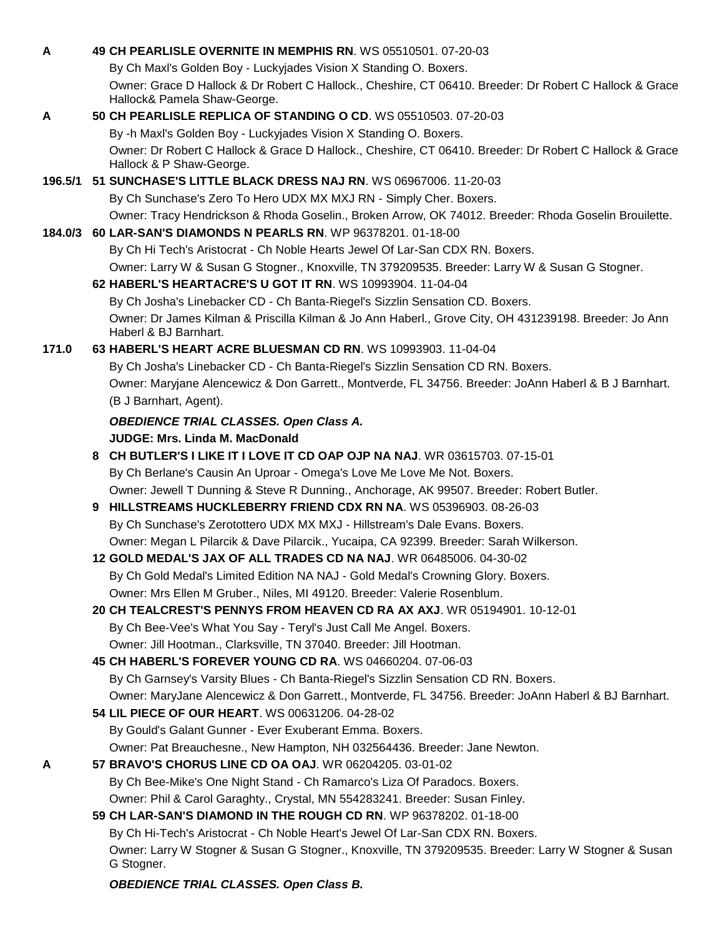|       | 49 CH PEARLISLE OVERNITE IN MEMPHIS RN. WS 05510501, 07-20-03                                                                           |
|-------|-----------------------------------------------------------------------------------------------------------------------------------------|
|       | By Ch Maxl's Golden Boy - Luckyjades Vision X Standing O. Boxers.                                                                       |
|       | Owner: Grace D Hallock & Dr Robert C Hallock., Cheshire, CT 06410. Breeder: Dr Robert C Hallock & Grace<br>Hallock& Pamela Shaw-George. |
| A     | 50 CH PEARLISLE REPLICA OF STANDING O CD. WS 05510503. 07-20-03                                                                         |
|       | By -h Maxl's Golden Boy - Luckyjades Vision X Standing O. Boxers.                                                                       |
|       | Owner: Dr Robert C Hallock & Grace D Hallock., Cheshire, CT 06410. Breeder: Dr Robert C Hallock & Grace                                 |
|       | Hallock & P Shaw-George.                                                                                                                |
|       | 196.5/1 51 SUNCHASE'S LITTLE BLACK DRESS NAJ RN. WS 06967006. 11-20-03                                                                  |
|       | By Ch Sunchase's Zero To Hero UDX MX MXJ RN - Simply Cher. Boxers.                                                                      |
|       | Owner: Tracy Hendrickson & Rhoda Goselin., Broken Arrow, OK 74012. Breeder: Rhoda Goselin Brouilette.                                   |
|       | 184.0/3 60 LAR-SAN'S DIAMONDS N PEARLS RN. WP 96378201. 01-18-00                                                                        |
|       | By Ch Hi Tech's Aristocrat - Ch Noble Hearts Jewel Of Lar-San CDX RN. Boxers.                                                           |
|       | Owner: Larry W & Susan G Stogner., Knoxville, TN 379209535. Breeder: Larry W & Susan G Stogner.                                         |
|       | 62 HABERL'S HEARTACRE'S U GOT IT RN. WS 10993904. 11-04-04                                                                              |
|       | By Ch Josha's Linebacker CD - Ch Banta-Riegel's Sizzlin Sensation CD. Boxers.                                                           |
|       | Owner: Dr James Kilman & Priscilla Kilman & Jo Ann Haberl., Grove City, OH 431239198. Breeder: Jo Ann                                   |
|       | Haberl & BJ Barnhart.                                                                                                                   |
| 171.0 | 63 HABERL'S HEART ACRE BLUESMAN CD RN. WS 10993903. 11-04-04                                                                            |
|       | By Ch Josha's Linebacker CD - Ch Banta-Riegel's Sizzlin Sensation CD RN. Boxers.                                                        |
|       | Owner: Maryjane Alencewicz & Don Garrett., Montverde, FL 34756. Breeder: JoAnn Haberl & B J Barnhart.                                   |
|       | (B J Barnhart, Agent).                                                                                                                  |
|       | <b>OBEDIENCE TRIAL CLASSES. Open Class A.</b>                                                                                           |
|       | <b>JUDGE: Mrs. Linda M. MacDonald</b>                                                                                                   |
|       | 8 CH BUTLER'S I LIKE IT I LOVE IT CD OAP OJP NA NAJ. WR 03615703. 07-15-01                                                              |
|       | By Ch Berlane's Causin An Uproar - Omega's Love Me Love Me Not. Boxers.                                                                 |
|       | Owner: Jewell T Dunning & Steve R Dunning., Anchorage, AK 99507. Breeder: Robert Butler.                                                |
|       | 9 HILLSTREAMS HUCKLEBERRY FRIEND CDX RN NA. WS 05396903. 08-26-03                                                                       |
|       |                                                                                                                                         |
|       | By Ch Sunchase's Zerotottero UDX MX MXJ - Hillstream's Dale Evans. Boxers.                                                              |
|       | Owner: Megan L Pilarcik & Dave Pilarcik., Yucaipa, CA 92399. Breeder: Sarah Wilkerson.                                                  |
|       | 12 GOLD MEDAL'S JAX OF ALL TRADES CD NA NAJ. WR 06485006. 04-30-02                                                                      |
|       | By Ch Gold Medal's Limited Edition NA NAJ - Gold Medal's Crowning Glory. Boxers.                                                        |
|       | Owner: Mrs Ellen M Gruber., Niles, MI 49120. Breeder: Valerie Rosenblum.                                                                |
|       | 20 CH TEALCREST'S PENNYS FROM HEAVEN CD RA AX AXJ. WR 05194901. 10-12-01                                                                |
|       | By Ch Bee-Vee's What You Say - Teryl's Just Call Me Angel. Boxers.                                                                      |
|       | Owner: Jill Hootman., Clarksville, TN 37040. Breeder: Jill Hootman.                                                                     |
|       | 45 CH HABERL'S FOREVER YOUNG CD RA. WS 04660204, 07-06-03                                                                               |
|       | By Ch Garnsey's Varsity Blues - Ch Banta-Riegel's Sizzlin Sensation CD RN. Boxers.                                                      |
|       | Owner: MaryJane Alencewicz & Don Garrett., Montverde, FL 34756. Breeder: JoAnn Haberl & BJ Barnhart.                                    |
|       | 54 LIL PIECE OF OUR HEART. WS 00631206. 04-28-02                                                                                        |
|       | By Gould's Galant Gunner - Ever Exuberant Emma. Boxers.                                                                                 |
|       | Owner: Pat Breauchesne., New Hampton, NH 032564436. Breeder: Jane Newton.                                                               |
| A     | 57 BRAVO'S CHORUS LINE CD OA OAJ. WR 06204205. 03-01-02                                                                                 |
|       | By Ch Bee-Mike's One Night Stand - Ch Ramarco's Liza Of Paradocs. Boxers.                                                               |
|       | Owner: Phil & Carol Garaghty., Crystal, MN 554283241. Breeder: Susan Finley.                                                            |
|       | 59 CH LAR-SAN'S DIAMOND IN THE ROUGH CD RN. WP 96378202. 01-18-00                                                                       |
|       | By Ch Hi-Tech's Aristocrat - Ch Noble Heart's Jewel Of Lar-San CDX RN. Boxers.                                                          |
|       | Owner: Larry W Stogner & Susan G Stogner., Knoxville, TN 379209535. Breeder: Larry W Stogner & Susan                                    |
|       | G Stogner.                                                                                                                              |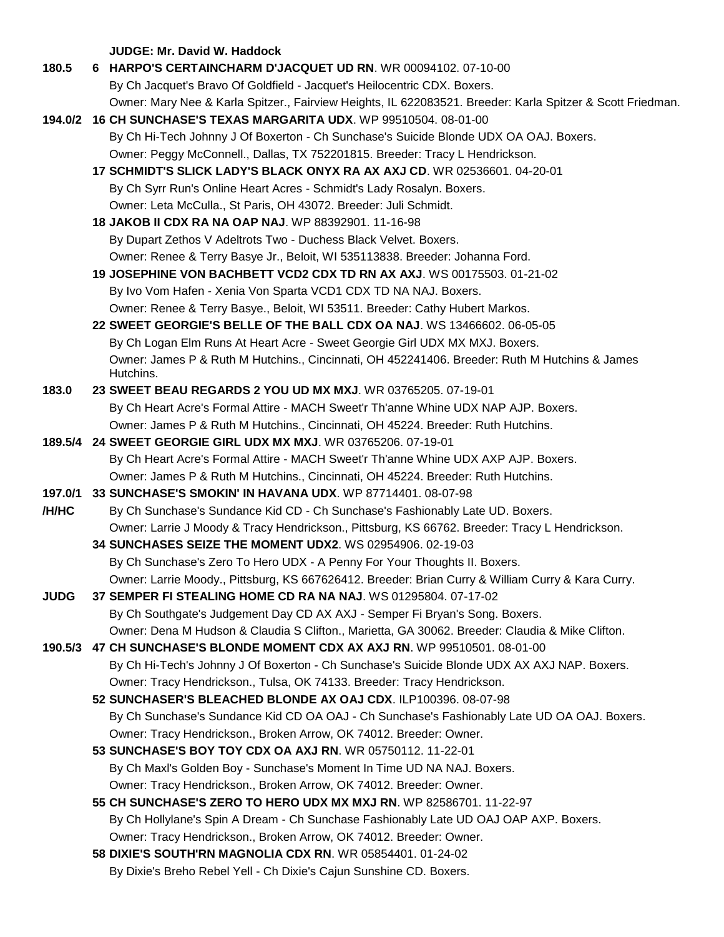**JUDGE: Mr. David W. Haddock 180.5 6 HARPO'S CERTAINCHARM D'JACQUET UD RN**. WR 00094102. 07-10-00 By Ch Jacquet's Bravo Of Goldfield - Jacquet's Heilocentric CDX. Boxers. Owner: Mary Nee & Karla Spitzer., Fairview Heights, IL 622083521. Breeder: Karla Spitzer & Scott Friedman. **194.0/2 16 CH SUNCHASE'S TEXAS MARGARITA UDX**. WP 99510504. 08-01-00 By Ch Hi-Tech Johnny J Of Boxerton - Ch Sunchase's Suicide Blonde UDX OA OAJ. Boxers. Owner: Peggy McConnell., Dallas, TX 752201815. Breeder: Tracy L Hendrickson. **17 SCHMIDT'S SLICK LADY'S BLACK ONYX RA AX AXJ CD**. WR 02536601. 04-20-01 By Ch Syrr Run's Online Heart Acres - Schmidt's Lady Rosalyn. Boxers. Owner: Leta McCulla., St Paris, OH 43072. Breeder: Juli Schmidt. **18 JAKOB II CDX RA NA OAP NAJ**. WP 88392901. 11-16-98 By Dupart Zethos V Adeltrots Two - Duchess Black Velvet. Boxers. Owner: Renee & Terry Basye Jr., Beloit, WI 535113838. Breeder: Johanna Ford. **19 JOSEPHINE VON BACHBETT VCD2 CDX TD RN AX AXJ**. WS 00175503. 01-21-02 By Ivo Vom Hafen - Xenia Von Sparta VCD1 CDX TD NA NAJ. Boxers. Owner: Renee & Terry Basye., Beloit, WI 53511. Breeder: Cathy Hubert Markos. **22 SWEET GEORGIE'S BELLE OF THE BALL CDX OA NAJ**. WS 13466602. 06-05-05 By Ch Logan Elm Runs At Heart Acre - Sweet Georgie Girl UDX MX MXJ. Boxers. Owner: James P & Ruth M Hutchins., Cincinnati, OH 452241406. Breeder: Ruth M Hutchins & James Hutchins. **183.0 23 SWEET BEAU REGARDS 2 YOU UD MX MXJ**. WR 03765205. 07-19-01 By Ch Heart Acre's Formal Attire - MACH Sweet'r Th'anne Whine UDX NAP AJP. Boxers. Owner: James P & Ruth M Hutchins., Cincinnati, OH 45224. Breeder: Ruth Hutchins. **189.5/4 24 SWEET GEORGIE GIRL UDX MX MXJ**. WR 03765206. 07-19-01 By Ch Heart Acre's Formal Attire - MACH Sweet'r Th'anne Whine UDX AXP AJP. Boxers. Owner: James P & Ruth M Hutchins., Cincinnati, OH 45224. Breeder: Ruth Hutchins. **197.0/1 33 SUNCHASE'S SMOKIN' IN HAVANA UDX**. WP 87714401. 08-07-98 **/H/HC** By Ch Sunchase's Sundance Kid CD - Ch Sunchase's Fashionably Late UD. Boxers. Owner: Larrie J Moody & Tracy Hendrickson., Pittsburg, KS 66762. Breeder: Tracy L Hendrickson. **34 SUNCHASES SEIZE THE MOMENT UDX2**. WS 02954906. 02-19-03 By Ch Sunchase's Zero To Hero UDX - A Penny For Your Thoughts II. Boxers. Owner: Larrie Moody., Pittsburg, KS 667626412. Breeder: Brian Curry & William Curry & Kara Curry. **JUDG 37 SEMPER FI STEALING HOME CD RA NA NAJ**. WS 01295804. 07-17-02 By Ch Southgate's Judgement Day CD AX AXJ - Semper Fi Bryan's Song. Boxers. Owner: Dena M Hudson & Claudia S Clifton., Marietta, GA 30062. Breeder: Claudia & Mike Clifton. **190.5/3 47 CH SUNCHASE'S BLONDE MOMENT CDX AX AXJ RN**. WP 99510501. 08-01-00 By Ch Hi-Tech's Johnny J Of Boxerton - Ch Sunchase's Suicide Blonde UDX AX AXJ NAP. Boxers. Owner: Tracy Hendrickson., Tulsa, OK 74133. Breeder: Tracy Hendrickson. **52 SUNCHASER'S BLEACHED BLONDE AX OAJ CDX**. ILP100396. 08-07-98 By Ch Sunchase's Sundance Kid CD OA OAJ - Ch Sunchase's Fashionably Late UD OA OAJ. Boxers. Owner: Tracy Hendrickson., Broken Arrow, OK 74012. Breeder: Owner. **53 SUNCHASE'S BOY TOY CDX OA AXJ RN**. WR 05750112. 11-22-01 By Ch Maxl's Golden Boy - Sunchase's Moment In Time UD NA NAJ. Boxers. Owner: Tracy Hendrickson., Broken Arrow, OK 74012. Breeder: Owner. **55 CH SUNCHASE'S ZERO TO HERO UDX MX MXJ RN**. WP 82586701. 11-22-97 By Ch Hollylane's Spin A Dream - Ch Sunchase Fashionably Late UD OAJ OAP AXP. Boxers.

- Owner: Tracy Hendrickson., Broken Arrow, OK 74012. Breeder: Owner.
- **58 DIXIE'S SOUTH'RN MAGNOLIA CDX RN**. WR 05854401. 01-24-02 By Dixie's Breho Rebel Yell - Ch Dixie's Cajun Sunshine CD. Boxers.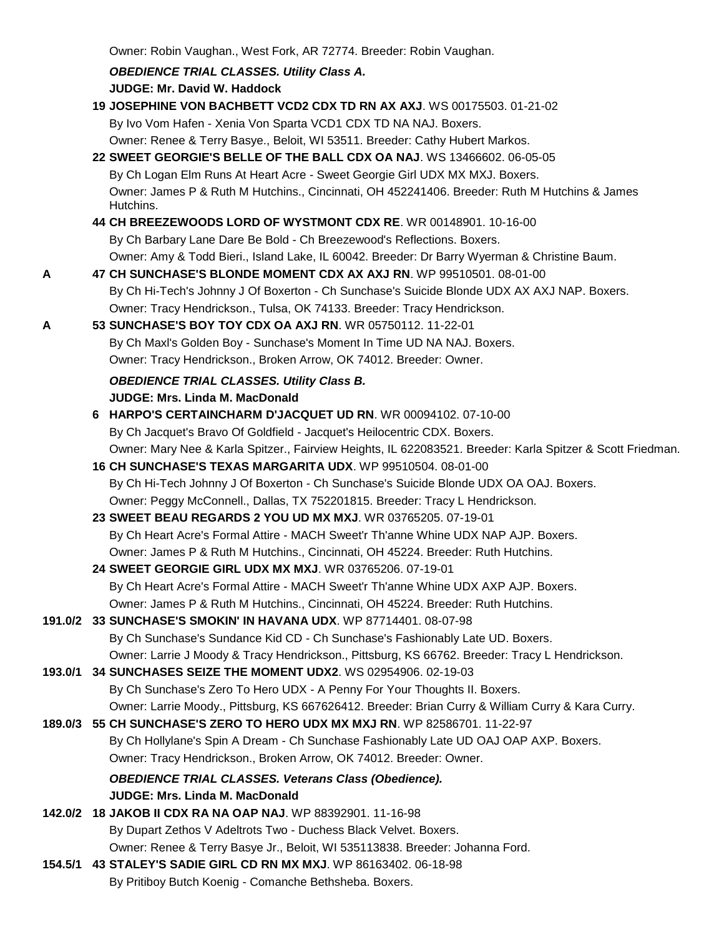Owner: Robin Vaughan., West Fork, AR 72774. Breeder: Robin Vaughan.

|         | <b>OBEDIENCE TRIAL CLASSES. Utility Class A.</b>                                                                                              |
|---------|-----------------------------------------------------------------------------------------------------------------------------------------------|
|         | <b>JUDGE: Mr. David W. Haddock</b>                                                                                                            |
|         | 19 JOSEPHINE VON BACHBETT VCD2 CDX TD RN AX AXJ. WS 00175503. 01-21-02                                                                        |
|         | By Ivo Vom Hafen - Xenia Von Sparta VCD1 CDX TD NA NAJ. Boxers.                                                                               |
|         | Owner: Renee & Terry Basye., Beloit, WI 53511. Breeder: Cathy Hubert Markos.                                                                  |
|         | 22 SWEET GEORGIE'S BELLE OF THE BALL CDX OA NAJ. WS 13466602. 06-05-05                                                                        |
|         | By Ch Logan Elm Runs At Heart Acre - Sweet Georgie Girl UDX MX MXJ. Boxers.                                                                   |
|         | Owner: James P & Ruth M Hutchins., Cincinnati, OH 452241406. Breeder: Ruth M Hutchins & James<br>Hutchins.                                    |
|         | 44 CH BREEZEWOODS LORD OF WYSTMONT CDX RE. WR 00148901. 10-16-00                                                                              |
|         | By Ch Barbary Lane Dare Be Bold - Ch Breezewood's Reflections. Boxers.                                                                        |
|         | Owner: Amy & Todd Bieri., Island Lake, IL 60042. Breeder: Dr Barry Wyerman & Christine Baum.                                                  |
| Α       | 47 CH SUNCHASE'S BLONDE MOMENT CDX AX AXJ RN. WP 99510501. 08-01-00                                                                           |
|         | By Ch Hi-Tech's Johnny J Of Boxerton - Ch Sunchase's Suicide Blonde UDX AX AXJ NAP. Boxers.                                                   |
|         | Owner: Tracy Hendrickson., Tulsa, OK 74133. Breeder: Tracy Hendrickson.                                                                       |
| Α       | 53 SUNCHASE'S BOY TOY CDX OA AXJ RN. WR 05750112. 11-22-01                                                                                    |
|         | By Ch Maxl's Golden Boy - Sunchase's Moment In Time UD NA NAJ. Boxers.                                                                        |
|         | Owner: Tracy Hendrickson., Broken Arrow, OK 74012. Breeder: Owner.                                                                            |
|         | <b>OBEDIENCE TRIAL CLASSES. Utility Class B.</b>                                                                                              |
|         | <b>JUDGE: Mrs. Linda M. MacDonald</b>                                                                                                         |
|         | 6 HARPO'S CERTAINCHARM D'JACQUET UD RN. WR 00094102. 07-10-00                                                                                 |
|         | By Ch Jacquet's Bravo Of Goldfield - Jacquet's Heilocentric CDX. Boxers.                                                                      |
|         | Owner: Mary Nee & Karla Spitzer., Fairview Heights, IL 622083521. Breeder: Karla Spitzer & Scott Friedman.                                    |
|         | 16 CH SUNCHASE'S TEXAS MARGARITA UDX. WP 99510504. 08-01-00                                                                                   |
|         | By Ch Hi-Tech Johnny J Of Boxerton - Ch Sunchase's Suicide Blonde UDX OA OAJ. Boxers.                                                         |
|         | Owner: Peggy McConnell., Dallas, TX 752201815. Breeder: Tracy L Hendrickson.                                                                  |
|         | 23 SWEET BEAU REGARDS 2 YOU UD MX MXJ. WR 03765205. 07-19-01                                                                                  |
|         | By Ch Heart Acre's Formal Attire - MACH Sweet'r Th'anne Whine UDX NAP AJP. Boxers.                                                            |
|         | Owner: James P & Ruth M Hutchins., Cincinnati, OH 45224. Breeder: Ruth Hutchins.                                                              |
|         | 24 SWEET GEORGIE GIRL UDX MX MXJ. WR 03765206. 07-19-01                                                                                       |
|         | By Ch Heart Acre's Formal Attire - MACH Sweet'r Th'anne Whine UDX AXP AJP. Boxers.                                                            |
|         | Owner: James P & Ruth M Hutchins., Cincinnati, OH 45224. Breeder: Ruth Hutchins.<br>33 SUNCHASE'S SMOKIN' IN HAVANA UDX. WP 87714401.08-07-98 |
| 191.0/2 | By Ch Sunchase's Sundance Kid CD - Ch Sunchase's Fashionably Late UD. Boxers.                                                                 |
|         | Owner: Larrie J Moody & Tracy Hendrickson., Pittsburg, KS 66762. Breeder: Tracy L Hendrickson.                                                |
| 193.0/1 | 34 SUNCHASES SEIZE THE MOMENT UDX2. WS 02954906. 02-19-03                                                                                     |
|         | By Ch Sunchase's Zero To Hero UDX - A Penny For Your Thoughts II. Boxers.                                                                     |
|         | Owner: Larrie Moody., Pittsburg, KS 667626412. Breeder: Brian Curry & William Curry & Kara Curry.                                             |
| 189.0/3 | 55 CH SUNCHASE'S ZERO TO HERO UDX MX MXJ RN. WP 82586701. 11-22-97                                                                            |
|         | By Ch Hollylane's Spin A Dream - Ch Sunchase Fashionably Late UD OAJ OAP AXP. Boxers.                                                         |
|         | Owner: Tracy Hendrickson., Broken Arrow, OK 74012. Breeder: Owner.                                                                            |
|         | <b>OBEDIENCE TRIAL CLASSES. Veterans Class (Obedience).</b>                                                                                   |
|         | <b>JUDGE: Mrs. Linda M. MacDonald</b>                                                                                                         |
| 142.0/2 | <b>18 JAKOB II CDX RA NA OAP NAJ. WP 88392901. 11-16-98</b>                                                                                   |
|         | By Dupart Zethos V Adeltrots Two - Duchess Black Velvet. Boxers.                                                                              |
|         | Owner: Renee & Terry Basye Jr., Beloit, WI 535113838. Breeder: Johanna Ford.                                                                  |
| 154.5/1 | 43 STALEY'S SADIE GIRL CD RN MX MXJ. WP 86163402. 06-18-98                                                                                    |
|         |                                                                                                                                               |

By Pritiboy Butch Koenig - Comanche Bethsheba. Boxers.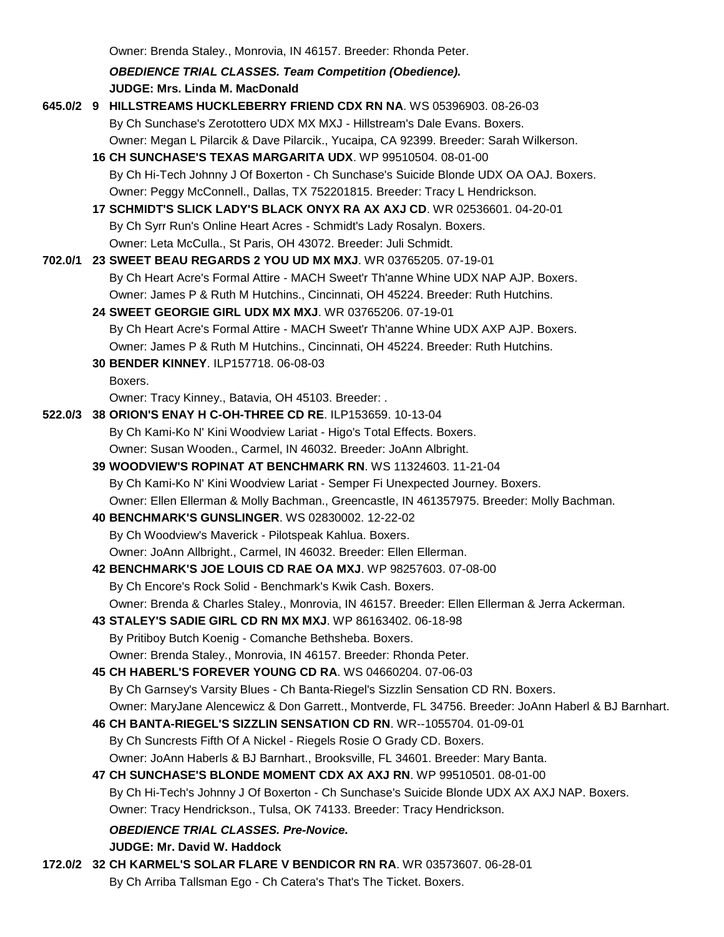Owner: Brenda Staley., Monrovia, IN 46157. Breeder: Rhonda Peter.

*OBEDIENCE TRIAL CLASSES. Team Competition (Obedience).* **JUDGE: Mrs. Linda M. MacDonald** 

**645.0/2 9 HILLSTREAMS HUCKLEBERRY FRIEND CDX RN NA**. WS 05396903. 08-26-03 By Ch Sunchase's Zerotottero UDX MX MXJ - Hillstream's Dale Evans. Boxers. Owner: Megan L Pilarcik & Dave Pilarcik., Yucaipa, CA 92399. Breeder: Sarah Wilkerson. **16 CH SUNCHASE'S TEXAS MARGARITA UDX**. WP 99510504. 08-01-00 By Ch Hi-Tech Johnny J Of Boxerton - Ch Sunchase's Suicide Blonde UDX OA OAJ. Boxers. Owner: Peggy McConnell., Dallas, TX 752201815. Breeder: Tracy L Hendrickson. **17 SCHMIDT'S SLICK LADY'S BLACK ONYX RA AX AXJ CD**. WR 02536601. 04-20-01 By Ch Syrr Run's Online Heart Acres - Schmidt's Lady Rosalyn. Boxers. Owner: Leta McCulla., St Paris, OH 43072. Breeder: Juli Schmidt. **702.0/1 23 SWEET BEAU REGARDS 2 YOU UD MX MXJ**. WR 03765205. 07-19-01 By Ch Heart Acre's Formal Attire - MACH Sweet'r Th'anne Whine UDX NAP AJP. Boxers. Owner: James P & Ruth M Hutchins., Cincinnati, OH 45224. Breeder: Ruth Hutchins. **24 SWEET GEORGIE GIRL UDX MX MXJ**. WR 03765206. 07-19-01 By Ch Heart Acre's Formal Attire - MACH Sweet'r Th'anne Whine UDX AXP AJP. Boxers. Owner: James P & Ruth M Hutchins., Cincinnati, OH 45224. Breeder: Ruth Hutchins. **30 BENDER KINNEY**. ILP157718. 06-08-03 Boxers. Owner: Tracy Kinney., Batavia, OH 45103. Breeder: . **522.0/3 38 ORION'S ENAY H C-OH-THREE CD RE**. ILP153659. 10-13-04 By Ch Kami-Ko N' Kini Woodview Lariat - Higo's Total Effects. Boxers. Owner: Susan Wooden., Carmel, IN 46032. Breeder: JoAnn Albright. **39 WOODVIEW'S ROPINAT AT BENCHMARK RN**. WS 11324603. 11-21-04 By Ch Kami-Ko N' Kini Woodview Lariat - Semper Fi Unexpected Journey. Boxers. Owner: Ellen Ellerman & Molly Bachman., Greencastle, IN 461357975. Breeder: Molly Bachman. **40 BENCHMARK'S GUNSLINGER**. WS 02830002. 12-22-02 By Ch Woodview's Maverick - Pilotspeak Kahlua. Boxers. Owner: JoAnn Allbright., Carmel, IN 46032. Breeder: Ellen Ellerman. **42 BENCHMARK'S JOE LOUIS CD RAE OA MXJ**. WP 98257603. 07-08-00 By Ch Encore's Rock Solid - Benchmark's Kwik Cash. Boxers. Owner: Brenda & Charles Staley., Monrovia, IN 46157. Breeder: Ellen Ellerman & Jerra Ackerman. **43 STALEY'S SADIE GIRL CD RN MX MXJ**. WP 86163402. 06-18-98 By Pritiboy Butch Koenig - Comanche Bethsheba. Boxers. Owner: Brenda Staley., Monrovia, IN 46157. Breeder: Rhonda Peter. **45 CH HABERL'S FOREVER YOUNG CD RA**. WS 04660204. 07-06-03 By Ch Garnsey's Varsity Blues - Ch Banta-Riegel's Sizzlin Sensation CD RN. Boxers. Owner: MaryJane Alencewicz & Don Garrett., Montverde, FL 34756. Breeder: JoAnn Haberl & BJ Barnhart. **46 CH BANTA-RIEGEL'S SIZZLIN SENSATION CD RN**. WR--1055704. 01-09-01 By Ch Suncrests Fifth Of A Nickel - Riegels Rosie O Grady CD. Boxers. Owner: JoAnn Haberls & BJ Barnhart., Brooksville, FL 34601. Breeder: Mary Banta. **47 CH SUNCHASE'S BLONDE MOMENT CDX AX AXJ RN**. WP 99510501. 08-01-00 By Ch Hi-Tech's Johnny J Of Boxerton - Ch Sunchase's Suicide Blonde UDX AX AXJ NAP. Boxers. Owner: Tracy Hendrickson., Tulsa, OK 74133. Breeder: Tracy Hendrickson. *OBEDIENCE TRIAL CLASSES. Pre-Novice.* **JUDGE: Mr. David W. Haddock 172.0/2 32 CH KARMEL'S SOLAR FLARE V BENDICOR RN RA**. WR 03573607. 06-28-01 By Ch Arriba Tallsman Ego - Ch Catera's That's The Ticket. Boxers.